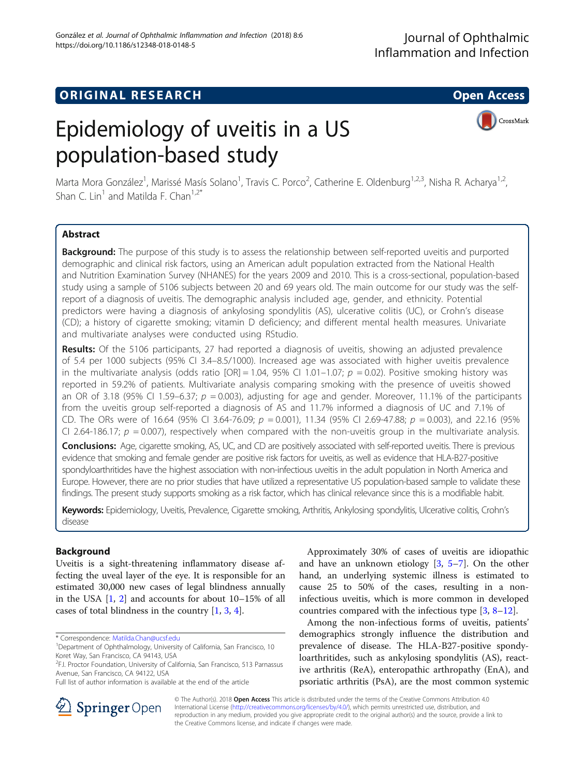# **ORIGINAL RESEARCH CONSERVERS AND ACCESS**

CrossMark

# Epidemiology of uveitis in a US population-based study

Marta Mora González<sup>1</sup>, Marissé Masís Solano<sup>1</sup>, Travis C. Porco<sup>2</sup>, Catherine E. Oldenburg<sup>1,2,3</sup>, Nisha R. Acharya<sup>1,2</sup>, Shan C. Lin<sup>1</sup> and Matilda F. Chan<sup>1,2\*</sup>

# Abstract

**Background:** The purpose of this study is to assess the relationship between self-reported uveitis and purported demographic and clinical risk factors, using an American adult population extracted from the National Health and Nutrition Examination Survey (NHANES) for the years 2009 and 2010. This is a cross-sectional, population-based study using a sample of 5106 subjects between 20 and 69 years old. The main outcome for our study was the selfreport of a diagnosis of uveitis. The demographic analysis included age, gender, and ethnicity. Potential predictors were having a diagnosis of ankylosing spondylitis (AS), ulcerative colitis (UC), or Crohn's disease (CD); a history of cigarette smoking; vitamin D deficiency; and different mental health measures. Univariate and multivariate analyses were conducted using RStudio.

**Results:** Of the 5106 participants, 27 had reported a diagnosis of uveitis, showing an adjusted prevalence of 5.4 per 1000 subjects (95% CI 3.4–8.5/1000). Increased age was associated with higher uveitis prevalence in the multivariate analysis (odds ratio  $[OR] = 1.04$ , 95% CI 1.01-1.07;  $p = 0.02$ ). Positive smoking history was reported in 59.2% of patients. Multivariate analysis comparing smoking with the presence of uveitis showed an OR of 3.18 (95% CI 1.59–6.37;  $p = 0.003$ ), adjusting for age and gender. Moreover, 11.1% of the participants from the uveitis group self-reported a diagnosis of AS and 11.7% informed a diagnosis of UC and 7.1% of CD. The ORs were of 16.64 (95% CI 3.64-76.09;  $p = 0.001$ ), 11.34 (95% CI 2.69-47.88;  $p = 0.003$ ), and 22.16 (95% CI 2.64-186.17;  $p = 0.007$ , respectively when compared with the non-uveitis group in the multivariate analysis.

Conclusions: Age, cigarette smoking, AS, UC, and CD are positively associated with self-reported uveitis. There is previous evidence that smoking and female gender are positive risk factors for uveitis, as well as evidence that HLA-B27-positive spondyloarthritides have the highest association with non-infectious uveitis in the adult population in North America and Europe. However, there are no prior studies that have utilized a representative US population-based sample to validate these findings. The present study supports smoking as a risk factor, which has clinical relevance since this is a modifiable habit.

Keywords: Epidemiology, Uveitis, Prevalence, Cigarette smoking, Arthritis, Ankylosing spondylitis, Ulcerative colitis, Crohn's disease

# Background

Uveitis is a sight-threatening inflammatory disease affecting the uveal layer of the eye. It is responsible for an estimated 30,000 new cases of legal blindness annually in the USA [[1,](#page-6-0) [2](#page-6-0)] and accounts for about 10–15% of all cases of total blindness in the country [\[1](#page-6-0), [3](#page-6-0), [4](#page-6-0)].

Approximately 30% of cases of uveitis are idiopathic and have an unknown etiology  $[3, 5-7]$  $[3, 5-7]$  $[3, 5-7]$  $[3, 5-7]$  $[3, 5-7]$  $[3, 5-7]$ . On the other hand, an underlying systemic illness is estimated to cause 25 to 50% of the cases, resulting in a noninfectious uveitis, which is more common in developed countries compared with the infectious type [[3,](#page-6-0) [8](#page-6-0)–[12](#page-6-0)].

Among the non-infectious forms of uveitis, patients' demographics strongly influence the distribution and prevalence of disease. The HLA-B27-positive spondyloarthritides, such as ankylosing spondylitis (AS), reactive arthritis (ReA), enteropathic arthropathy (EnA), and psoriatic arthritis (PsA), are the most common systemic



© The Author(s). 2018 Open Access This article is distributed under the terms of the Creative Commons Attribution 4.0 International License ([http://creativecommons.org/licenses/by/4.0/\)](http://creativecommons.org/licenses/by/4.0/), which permits unrestricted use, distribution, and reproduction in any medium, provided you give appropriate credit to the original author(s) and the source, provide a link to the Creative Commons license, and indicate if changes were made.

<sup>\*</sup> Correspondence: [Matilda.Chan@ucsf.edu](mailto:Matilda.Chan@ucsf.edu) <sup>1</sup>

<sup>&</sup>lt;sup>1</sup>Department of Ophthalmology, University of California, San Francisco, 10 Koret Way, San Francisco, CA 94143, USA

<sup>&</sup>lt;sup>2</sup>F.I. Proctor Foundation, University of California, San Francisco, 513 Parnassus Avenue, San Francisco, CA 94122, USA

Full list of author information is available at the end of the article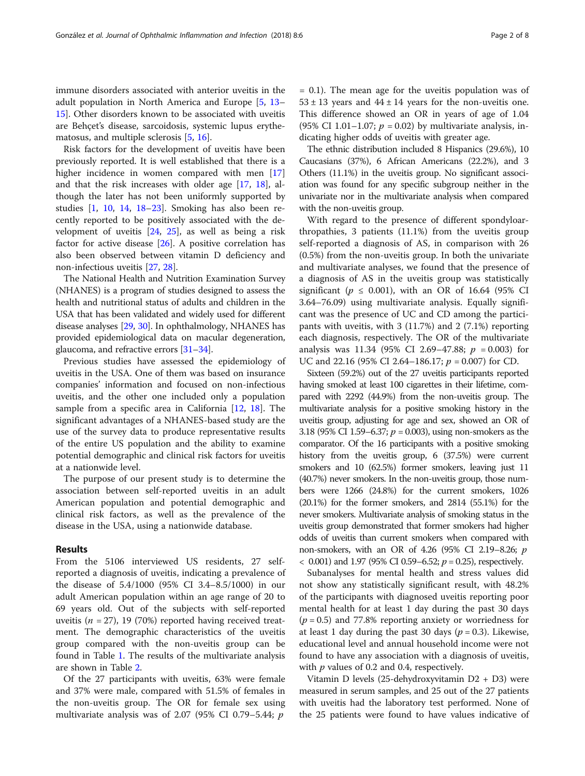immune disorders associated with anterior uveitis in the adult population in North America and Europe [[5,](#page-6-0) [13](#page-6-0)– [15\]](#page-6-0). Other disorders known to be associated with uveitis are Behçet's disease, sarcoidosis, systemic lupus erythematosus, and multiple sclerosis [[5,](#page-6-0) [16\]](#page-6-0).

Risk factors for the development of uveitis have been previously reported. It is well established that there is a higher incidence in women compared with men [[17](#page-6-0)] and that the risk increases with older age [[17,](#page-6-0) [18](#page-6-0)], although the later has not been uniformly supported by studies [\[1,](#page-6-0) [10,](#page-6-0) [14,](#page-6-0) [18](#page-6-0)–[23](#page-6-0)]. Smoking has also been recently reported to be positively associated with the development of uveitis [[24](#page-6-0), [25\]](#page-6-0), as well as being a risk factor for active disease [\[26\]](#page-6-0). A positive correlation has also been observed between vitamin D deficiency and non-infectious uveitis [\[27](#page-6-0), [28\]](#page-6-0).

The National Health and Nutrition Examination Survey (NHANES) is a program of studies designed to assess the health and nutritional status of adults and children in the USA that has been validated and widely used for different disease analyses [\[29,](#page-6-0) [30](#page-6-0)]. In ophthalmology, NHANES has provided epidemiological data on macular degeneration, glaucoma, and refractive errors [[31](#page-6-0)–[34\]](#page-6-0).

Previous studies have assessed the epidemiology of uveitis in the USA. One of them was based on insurance companies' information and focused on non-infectious uveitis, and the other one included only a population sample from a specific area in California [[12](#page-6-0), [18\]](#page-6-0). The significant advantages of a NHANES-based study are the use of the survey data to produce representative results of the entire US population and the ability to examine potential demographic and clinical risk factors for uveitis at a nationwide level.

The purpose of our present study is to determine the association between self-reported uveitis in an adult American population and potential demographic and clinical risk factors, as well as the prevalence of the disease in the USA, using a nationwide database.

# Results

From the 5106 interviewed US residents, 27 selfreported a diagnosis of uveitis, indicating a prevalence of the disease of 5.4/1000 (95% CI 3.4–8.5/1000) in our adult American population within an age range of 20 to 69 years old. Out of the subjects with self-reported uveitis ( $n = 27$ ), 19 (70%) reported having received treatment. The demographic characteristics of the uveitis group compared with the non-uveitis group can be found in Table [1](#page-3-0). The results of the multivariate analysis are shown in Table [2](#page-4-0).

Of the 27 participants with uveitis, 63% were female and 37% were male, compared with 51.5% of females in the non-uveitis group. The OR for female sex using multivariate analysis was of 2.07 (95% CI 0.79–5.44;  $p$ 

= 0.1). The mean age for the uveitis population was of  $53 \pm 13$  years and  $44 \pm 14$  years for the non-uveitis one. This difference showed an OR in years of age of 1.04 (95% CI 1.01–1.07;  $p = 0.02$ ) by multivariate analysis, indicating higher odds of uveitis with greater age.

The ethnic distribution included 8 Hispanics (29.6%), 10 Caucasians (37%), 6 African Americans (22.2%), and 3 Others (11.1%) in the uveitis group. No significant association was found for any specific subgroup neither in the univariate nor in the multivariate analysis when compared with the non-uveitis group.

With regard to the presence of different spondyloarthropathies, 3 patients (11.1%) from the uveitis group self-reported a diagnosis of AS, in comparison with 26 (0.5%) from the non-uveitis group. In both the univariate and multivariate analyses, we found that the presence of a diagnosis of AS in the uveitis group was statistically significant ( $p \leq 0.001$ ), with an OR of 16.64 (95% CI 3.64–76.09) using multivariate analysis. Equally significant was the presence of UC and CD among the participants with uveitis, with 3 (11.7%) and 2 (7.1%) reporting each diagnosis, respectively. The OR of the multivariate analysis was 11.34 (95% CI 2.69–47.88;  $p = 0.003$ ) for UC and 22.16 (95% CI 2.64–186.17;  $p = 0.007$ ) for CD.

Sixteen (59.2%) out of the 27 uveitis participants reported having smoked at least 100 cigarettes in their lifetime, compared with 2292 (44.9%) from the non-uveitis group. The multivariate analysis for a positive smoking history in the uveitis group, adjusting for age and sex, showed an OR of 3.18 (95% CI 1.59–6.37;  $p = 0.003$ ), using non-smokers as the comparator. Of the 16 participants with a positive smoking history from the uveitis group, 6 (37.5%) were current smokers and 10 (62.5%) former smokers, leaving just 11 (40.7%) never smokers. In the non-uveitis group, those numbers were 1266 (24.8%) for the current smokers, 1026 (20.1%) for the former smokers, and 2814 (55.1%) for the never smokers. Multivariate analysis of smoking status in the uveitis group demonstrated that former smokers had higher odds of uveitis than current smokers when compared with non-smokers, with an OR of 4.26 (95% CI 2.19–8.26; p  $<$  0.001) and 1.97 (95% CI 0.59–6.52;  $p = 0.25$ ), respectively.

Subanalyses for mental health and stress values did not show any statistically significant result, with 48.2% of the participants with diagnosed uveitis reporting poor mental health for at least 1 day during the past 30 days  $(p = 0.5)$  and 77.8% reporting anxiety or worriedness for at least 1 day during the past 30 days ( $p = 0.3$ ). Likewise, educational level and annual household income were not found to have any association with a diagnosis of uveitis, with  $p$  values of 0.2 and 0.4, respectively.

Vitamin D levels (25-dehydroxyvitamin D2 + D3) were measured in serum samples, and 25 out of the 27 patients with uveitis had the laboratory test performed. None of the 25 patients were found to have values indicative of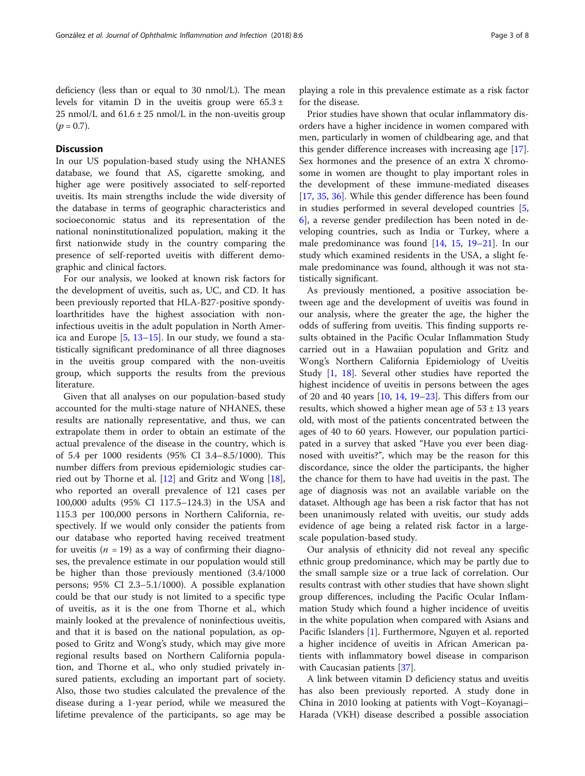# **Discussion**

In our US population-based study using the NHANES database, we found that AS, cigarette smoking, and higher age were positively associated to self-reported uveitis. Its main strengths include the wide diversity of the database in terms of geographic characteristics and socioeconomic status and its representation of the national noninstitutionalized population, making it the first nationwide study in the country comparing the presence of self-reported uveitis with different demographic and clinical factors.

For our analysis, we looked at known risk factors for the development of uveitis, such as, UC, and CD. It has been previously reported that HLA-B27-positive spondyloarthritides have the highest association with noninfectious uveitis in the adult population in North America and Europe  $[5, 13-15]$  $[5, 13-15]$  $[5, 13-15]$  $[5, 13-15]$  $[5, 13-15]$  $[5, 13-15]$ . In our study, we found a statistically significant predominance of all three diagnoses in the uveitis group compared with the non-uveitis group, which supports the results from the previous literature.

Given that all analyses on our population-based study accounted for the multi-stage nature of NHANES, these results are nationally representative, and thus, we can extrapolate them in order to obtain an estimate of the actual prevalence of the disease in the country, which is of 5.4 per 1000 residents (95% CI 3.4–8.5/1000). This number differs from previous epidemiologic studies carried out by Thorne et al. [\[12\]](#page-6-0) and Gritz and Wong [\[18](#page-6-0)], who reported an overall prevalence of 121 cases per 100,000 adults (95% CI 117.5–124.3) in the USA and 115.3 per 100,000 persons in Northern California, respectively. If we would only consider the patients from our database who reported having received treatment for uveitis ( $n = 19$ ) as a way of confirming their diagnoses, the prevalence estimate in our population would still be higher than those previously mentioned (3.4/1000 persons; 95% CI 2.3–5.1/1000). A possible explanation could be that our study is not limited to a specific type of uveitis, as it is the one from Thorne et al., which mainly looked at the prevalence of noninfectious uveitis, and that it is based on the national population, as opposed to Gritz and Wong's study, which may give more regional results based on Northern California population, and Thorne et al., who only studied privately insured patients, excluding an important part of society. Also, those two studies calculated the prevalence of the disease during a 1-year period, while we measured the lifetime prevalence of the participants, so age may be playing a role in this prevalence estimate as a risk factor for the disease.

Prior studies have shown that ocular inflammatory disorders have a higher incidence in women compared with men, particularly in women of childbearing age, and that this gender difference increases with increasing age [\[17](#page-6-0)]. Sex hormones and the presence of an extra X chromosome in women are thought to play important roles in the development of these immune-mediated diseases [[17,](#page-6-0) [35,](#page-6-0) [36\]](#page-6-0). While this gender difference has been found in studies performed in several developed countries [\[5](#page-6-0), [6\]](#page-6-0), a reverse gender predilection has been noted in developing countries, such as India or Turkey, where a male predominance was found  $[14, 15, 19-21]$  $[14, 15, 19-21]$  $[14, 15, 19-21]$  $[14, 15, 19-21]$  $[14, 15, 19-21]$  $[14, 15, 19-21]$  $[14, 15, 19-21]$  $[14, 15, 19-21]$  $[14, 15, 19-21]$ . In our study which examined residents in the USA, a slight female predominance was found, although it was not statistically significant.

As previously mentioned, a positive association between age and the development of uveitis was found in our analysis, where the greater the age, the higher the odds of suffering from uveitis. This finding supports results obtained in the Pacific Ocular Inflammation Study carried out in a Hawaiian population and Gritz and Wong's Northern California Epidemiology of Uveitis Study [[1,](#page-6-0) [18\]](#page-6-0). Several other studies have reported the highest incidence of uveitis in persons between the ages of 20 and 40 years [\[10](#page-6-0), [14](#page-6-0), [19](#page-6-0)–[23](#page-6-0)]. This differs from our results, which showed a higher mean age of  $53 \pm 13$  years old, with most of the patients concentrated between the ages of 40 to 60 years. However, our population participated in a survey that asked "Have you ever been diagnosed with uveitis?", which may be the reason for this discordance, since the older the participants, the higher the chance for them to have had uveitis in the past. The age of diagnosis was not an available variable on the dataset. Although age has been a risk factor that has not been unanimously related with uveitis, our study adds evidence of age being a related risk factor in a largescale population-based study.

Our analysis of ethnicity did not reveal any specific ethnic group predominance, which may be partly due to the small sample size or a true lack of correlation. Our results contrast with other studies that have shown slight group differences, including the Pacific Ocular Inflammation Study which found a higher incidence of uveitis in the white population when compared with Asians and Pacific Islanders [[1\]](#page-6-0). Furthermore, Nguyen et al. reported a higher incidence of uveitis in African American patients with inflammatory bowel disease in comparison with Caucasian patients [\[37](#page-6-0)].

A link between vitamin D deficiency status and uveitis has also been previously reported. A study done in China in 2010 looking at patients with Vogt–Koyanagi– Harada (VKH) disease described a possible association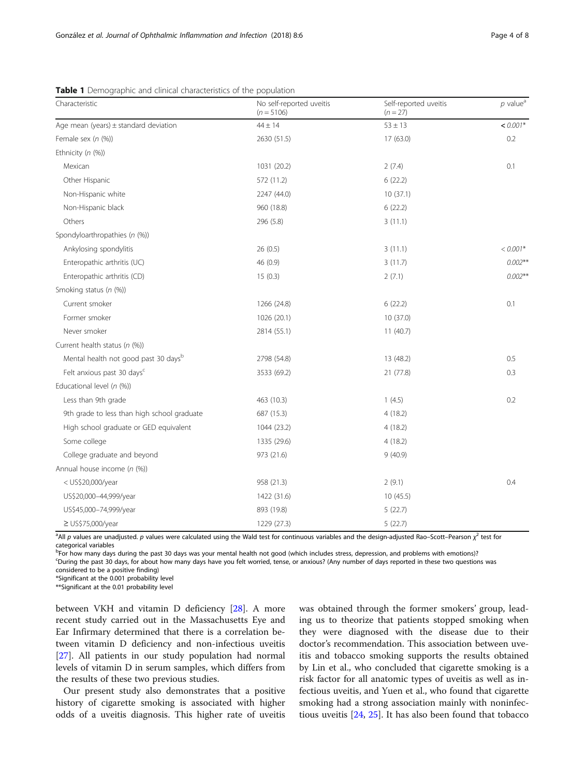| Characteristic                              | No self-reported uveitis<br>$(n = 5106)$ | Self-reported uveitis<br>$(n = 27)$ | $p$ value <sup>a</sup> |
|---------------------------------------------|------------------------------------------|-------------------------------------|------------------------|
| Age mean (years) $\pm$ standard deviation   | $44 \pm 14$                              | $53 \pm 13$                         | $< 0.001*$             |
| Female sex $(n \, (%)$                      | 2630 (51.5)                              | 17 (63.0)                           | 0.2                    |
| Ethnicity (n (%))                           |                                          |                                     |                        |
| Mexican                                     | 1031 (20.2)                              | 2(7.4)                              | 0.1                    |
| Other Hispanic                              | 572 (11.2)                               | 6(22.2)                             |                        |
| Non-Hispanic white                          | 2247 (44.0)                              | 10(37.1)                            |                        |
| Non-Hispanic black                          | 960 (18.8)                               | 6(22.2)                             |                        |
| Others                                      | 296 (5.8)                                | 3(11.1)                             |                        |
| Spondyloarthropathies (n (%))               |                                          |                                     |                        |
| Ankylosing spondylitis                      | 26(0.5)                                  | 3(11.1)                             | $< 0.001*$             |
| Enteropathic arthritis (UC)                 | 46 (0.9)                                 | 3(11.7)                             | $0.002***$             |
| Enteropathic arthritis (CD)                 | 15(0.3)                                  | 2(7.1)                              | $0.002***$             |
| Smoking status (n (%))                      |                                          |                                     |                        |
| Current smoker                              | 1266 (24.8)                              | 6(22.2)                             | 0.1                    |
| Former smoker                               | 1026 (20.1)                              | 10 (37.0)                           |                        |
| Never smoker                                | 2814 (55.1)                              | 11(40.7)                            |                        |
| Current health status (n (%))               |                                          |                                     |                        |
| Mental health not good past 30 daysb        | 2798 (54.8)                              | 13 (48.2)                           | 0.5                    |
| Felt anxious past 30 days <sup>c</sup>      | 3533 (69.2)                              | 21 (77.8)                           | 0.3                    |
| Educational level (n (%))                   |                                          |                                     |                        |
| Less than 9th grade                         | 463 (10.3)                               | 1(4.5)                              | 0.2                    |
| 9th grade to less than high school graduate | 687 (15.3)                               | 4(18.2)                             |                        |
| High school graduate or GED equivalent      | 1044 (23.2)                              | 4(18.2)                             |                        |
| Some college                                | 1335 (29.6)                              | 4(18.2)                             |                        |
| College graduate and beyond                 | 973 (21.6)                               | 9(40.9)                             |                        |
| Annual house income (n (%))                 |                                          |                                     |                        |
| < US\$20,000/year                           | 958 (21.3)                               | 2(9.1)                              | 0.4                    |
| US\$20,000-44,999/year                      | 1422 (31.6)                              | 10 (45.5)                           |                        |
| US\$45,000-74,999/year                      | 893 (19.8)                               | 5(22.7)                             |                        |
| $\geq$ US\$75,000/year                      | 1229 (27.3)                              | 5(22.7)                             |                        |

# <span id="page-3-0"></span>Table 1 Demographic and clinical characteristics of the population

<sup>a</sup>All p values are unadjusted. p values were calculated using the Wald test for continuous variables and the design-adjusted Rao–Scott–Pearson  $\chi^2$  test for categorical variables

b<br>Por how many days during the past 30 days was your mental health not good (which includes stress, depression, and problems with emotions)? c During the past 30 days, for about how many days have you felt worried, tense, or anxious? (Any number of days reported in these two questions was

considered to be a positive finding)

\*Significant at the 0.001 probability level

\*\*Significant at the 0.01 probability level

between VKH and vitamin D deficiency [\[28](#page-6-0)]. A more recent study carried out in the Massachusetts Eye and Ear Infirmary determined that there is a correlation between vitamin D deficiency and non-infectious uveitis [[27\]](#page-6-0). All patients in our study population had normal levels of vitamin D in serum samples, which differs from the results of these two previous studies.

Our present study also demonstrates that a positive history of cigarette smoking is associated with higher odds of a uveitis diagnosis. This higher rate of uveitis

was obtained through the former smokers' group, leading us to theorize that patients stopped smoking when they were diagnosed with the disease due to their doctor's recommendation. This association between uveitis and tobacco smoking supports the results obtained by Lin et al., who concluded that cigarette smoking is a risk factor for all anatomic types of uveitis as well as infectious uveitis, and Yuen et al., who found that cigarette smoking had a strong association mainly with noninfectious uveitis [\[24](#page-6-0), [25](#page-6-0)]. It has also been found that tobacco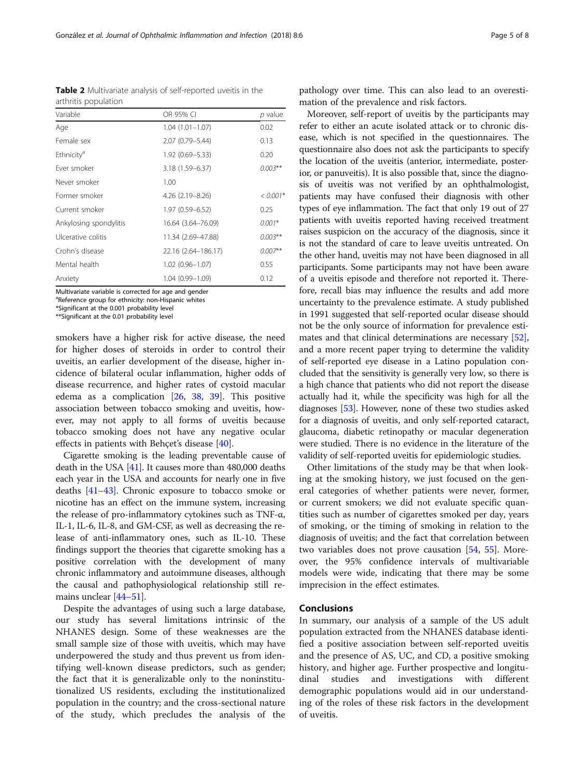<span id="page-4-0"></span>González et al. Journal of Ophthalmic Inflammation and Infection (2018) 8:6 Page 5 of 8

Table 2 Multivariate analysis of self-reported uveitis in the arthritis population

| Variable               | OR 95% CI           | p value    |
|------------------------|---------------------|------------|
| Age                    | $1.04(1.01 - 1.07)$ | 0.02       |
| Female sex             | 2.07 (0.79-5.44)    | 0.13       |
| Ethnicity <sup>d</sup> | 1.92 (0.69-5.33)    | 0.20       |
| Fver smoker            | 3.18 (1.59-6.37)    | $0.003***$ |
| Never smoker           | 1.00                |            |
| Former smoker          | 4.26 (2.19–8.26)    | $< 0.001*$ |
| Current smoker         | 1.97 (0.59–6.52)    | 0.25       |
| Ankylosing spondylitis | 16.64 (3.64-76.09)  | $0.001*$   |
| Ulcerative colitis     | 11.34 (2.69–47.88)  | $0.003***$ |
| Crohn's disease        | 22.16 (2.64-186.17) | $0.007**$  |
| Mental health          | $1.02(0.96 - 1.07)$ | 0.55       |
| Anxiety                | 1.04 (0.99-1.09)    | 0.12       |

Multivariate variable is corrected for age and gender

<sup>a</sup>Reference group for ethnicity: non-Hispanic whites

\*Significant at the 0.001 probability level

\*\*Significant at the 0.01 probability level

smokers have a higher risk for active disease, the need for higher doses of steroids in order to control their uveitis, an earlier development of the disease, higher incidence of bilateral ocular inflammation, higher odds of disease recurrence, and higher rates of cystoid macular edema as a complication [\[26,](#page-6-0) [38](#page-6-0), [39](#page-6-0)]. This positive association between tobacco smoking and uveitis, however, may not apply to all forms of uveitis because tobacco smoking does not have any negative ocular effects in patients with Behçet's disease [[40\]](#page-6-0).

Cigarette smoking is the leading preventable cause of death in the USA [\[41\]](#page-6-0). It causes more than 480,000 deaths each year in the USA and accounts for nearly one in five deaths [\[41](#page-6-0)–[43](#page-6-0)]. Chronic exposure to tobacco smoke or nicotine has an effect on the immune system, increasing the release of pro-inflammatory cytokines such as TNF-α, IL-1, IL-6, IL-8, and GM-CSF, as well as decreasing the release of anti-inflammatory ones, such as IL-10. These findings support the theories that cigarette smoking has a positive correlation with the development of many chronic inflammatory and autoimmune diseases, although the causal and pathophysiological relationship still re-mains unclear [\[44](#page-6-0)–[51\]](#page-7-0).

Despite the advantages of using such a large database, our study has several limitations intrinsic of the NHANES design. Some of these weaknesses are the small sample size of those with uveitis, which may have underpowered the study and thus prevent us from identifying well-known disease predictors, such as gender; the fact that it is generalizable only to the noninstitutionalized US residents, excluding the institutionalized population in the country; and the cross-sectional nature of the study, which precludes the analysis of the

Moreover, self-report of uveitis by the participants may refer to either an acute isolated attack or to chronic disease, which is not specified in the questionnaires. The questionnaire also does not ask the participants to specify the location of the uveitis (anterior, intermediate, posterior, or panuveitis). It is also possible that, since the diagnosis of uveitis was not verified by an ophthalmologist, patients may have confused their diagnosis with other types of eye inflammation. The fact that only 19 out of 27 patients with uveitis reported having received treatment raises suspicion on the accuracy of the diagnosis, since it is not the standard of care to leave uveitis untreated. On the other hand, uveitis may not have been diagnosed in all participants. Some participants may not have been aware of a uveitis episode and therefore not reported it. Therefore, recall bias may influence the results and add more uncertainty to the prevalence estimate. A study published in 1991 suggested that self-reported ocular disease should not be the only source of information for prevalence estimates and that clinical determinations are necessary [[52](#page-7-0)], and a more recent paper trying to determine the validity of self-reported eye disease in a Latino population concluded that the sensitivity is generally very low, so there is a high chance that patients who did not report the disease actually had it, while the specificity was high for all the diagnoses [[53](#page-7-0)]. However, none of these two studies asked for a diagnosis of uveitis, and only self-reported cataract, glaucoma, diabetic retinopathy or macular degeneration were studied. There is no evidence in the literature of the validity of self-reported uveitis for epidemiologic studies.

Other limitations of the study may be that when looking at the smoking history, we just focused on the general categories of whether patients were never, former, or current smokers; we did not evaluate specific quantities such as number of cigarettes smoked per day, years of smoking, or the timing of smoking in relation to the diagnosis of uveitis; and the fact that correlation between two variables does not prove causation [\[54](#page-7-0), [55](#page-7-0)]. Moreover, the 95% confidence intervals of multivariable models were wide, indicating that there may be some imprecision in the effect estimates.

# Conclusions

In summary, our analysis of a sample of the US adult population extracted from the NHANES database identified a positive association between self-reported uveitis and the presence of AS, UC, and CD, a positive smoking history, and higher age. Further prospective and longitudinal studies and investigations with different demographic populations would aid in our understanding of the roles of these risk factors in the development of uveitis.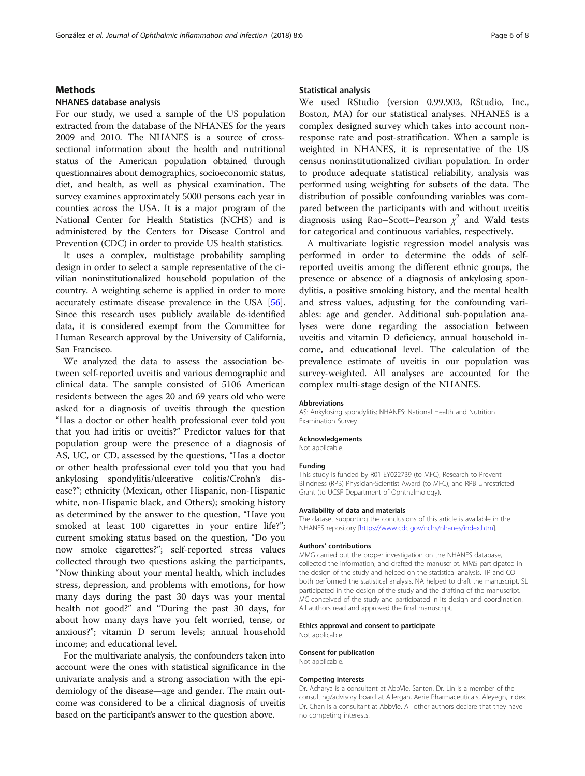# Methods

# NHANES database analysis

For our study, we used a sample of the US population extracted from the database of the NHANES for the years 2009 and 2010. The NHANES is a source of crosssectional information about the health and nutritional status of the American population obtained through questionnaires about demographics, socioeconomic status, diet, and health, as well as physical examination. The survey examines approximately 5000 persons each year in counties across the USA. It is a major program of the National Center for Health Statistics (NCHS) and is administered by the Centers for Disease Control and Prevention (CDC) in order to provide US health statistics.

It uses a complex, multistage probability sampling design in order to select a sample representative of the civilian noninstitutionalized household population of the country. A weighting scheme is applied in order to more accurately estimate disease prevalence in the USA [[56](#page-7-0)]. Since this research uses publicly available de-identified data, it is considered exempt from the Committee for Human Research approval by the University of California, San Francisco.

We analyzed the data to assess the association between self-reported uveitis and various demographic and clinical data. The sample consisted of 5106 American residents between the ages 20 and 69 years old who were asked for a diagnosis of uveitis through the question "Has a doctor or other health professional ever told you that you had iritis or uveitis?" Predictor values for that population group were the presence of a diagnosis of AS, UC, or CD, assessed by the questions, "Has a doctor or other health professional ever told you that you had ankylosing spondylitis/ulcerative colitis/Crohn's disease?"; ethnicity (Mexican, other Hispanic, non-Hispanic white, non-Hispanic black, and Others); smoking history as determined by the answer to the question, "Have you smoked at least 100 cigarettes in your entire life?"; current smoking status based on the question, "Do you now smoke cigarettes?"; self-reported stress values collected through two questions asking the participants, "Now thinking about your mental health, which includes stress, depression, and problems with emotions, for how many days during the past 30 days was your mental health not good?" and "During the past 30 days, for about how many days have you felt worried, tense, or anxious?"; vitamin D serum levels; annual household income; and educational level.

For the multivariate analysis, the confounders taken into account were the ones with statistical significance in the univariate analysis and a strong association with the epidemiology of the disease—age and gender. The main outcome was considered to be a clinical diagnosis of uveitis based on the participant's answer to the question above.

# Statistical analysis

We used RStudio (version 0.99.903, RStudio, Inc., Boston, MA) for our statistical analyses. NHANES is a complex designed survey which takes into account nonresponse rate and post-stratification. When a sample is weighted in NHANES, it is representative of the US census noninstitutionalized civilian population. In order to produce adequate statistical reliability, analysis was performed using weighting for subsets of the data. The distribution of possible confounding variables was compared between the participants with and without uveitis diagnosis using Rao–Scott–Pearson  $\chi^2$  and Wald tests for categorical and continuous variables, respectively.

A multivariate logistic regression model analysis was performed in order to determine the odds of selfreported uveitis among the different ethnic groups, the presence or absence of a diagnosis of ankylosing spondylitis, a positive smoking history, and the mental health and stress values, adjusting for the confounding variables: age and gender. Additional sub-population analyses were done regarding the association between uveitis and vitamin D deficiency, annual household income, and educational level. The calculation of the prevalence estimate of uveitis in our population was survey-weighted. All analyses are accounted for the complex multi-stage design of the NHANES.

### Abbreviations

AS: Ankylosing spondylitis; NHANES: National Health and Nutrition Examination Survey

#### Acknowledgements

Not applicable.

#### Funding

This study is funded by R01 EY022739 (to MFC), Research to Prevent Blindness (RPB) Physician-Scientist Award (to MFC), and RPB Unrestricted Grant (to UCSF Department of Ophthalmology).

## Availability of data and materials

The dataset supporting the conclusions of this article is available in the NHANES repository [<https://www.cdc.gov/nchs/nhanes/index.htm>].

#### Authors' contributions

MMG carried out the proper investigation on the NHANES database, collected the information, and drafted the manuscript. MMS participated in the design of the study and helped on the statistical analysis. TP and CO both performed the statistical analysis. NA helped to draft the manuscript. SL participated in the design of the study and the drafting of the manuscript. MC conceived of the study and participated in its design and coordination. All authors read and approved the final manuscript.

#### Ethics approval and consent to participate

Not applicable.

## Consent for publication

Not applicable.

#### Competing interests

Dr. Acharya is a consultant at AbbVie, Santen. Dr. Lin is a member of the consulting/advisory board at Allergan, Aerie Pharmaceuticals, Aleyegn, Iridex. Dr. Chan is a consultant at AbbVie. All other authors declare that they have no competing interests.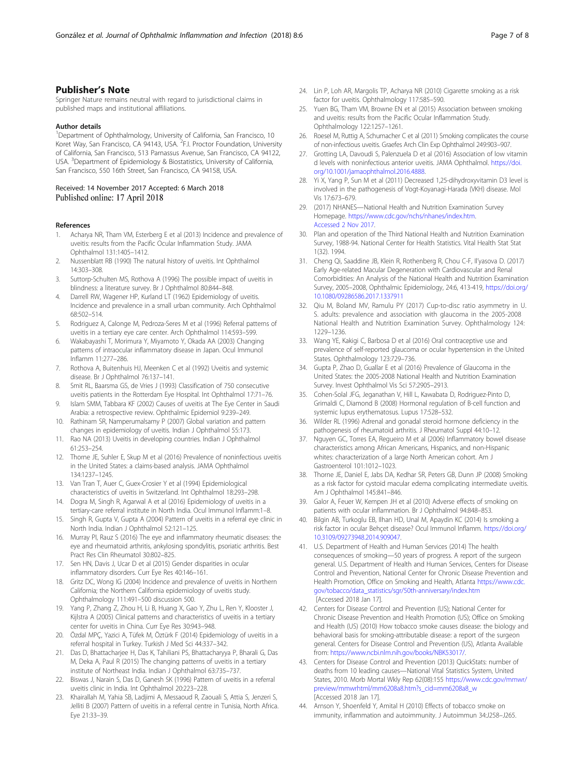# <span id="page-6-0"></span>Publisher's Note

Springer Nature remains neutral with regard to jurisdictional claims in published maps and institutional affiliations.

#### Author details

<sup>1</sup>Department of Ophthalmology, University of California, San Francisco, 10 Koret Way, San Francisco, CA 94143, USA. <sup>2</sup>F.I. Proctor Foundation, University of California, San Francisco, 513 Parnassus Avenue, San Francisco, CA 94122, USA. <sup>3</sup>Department of Epidemiology & Biostatistics, University of California, San Francisco, 550 16th Street, San Francisco, CA 94158, USA.

# Received: 14 November 2017 Accepted: 6 March 2018

#### References

- 1. Acharya NR, Tham VM, Esterberg E et al (2013) Incidence and prevalence of uveitis: results from the Pacific Ocular Inflammation Study. JAMA Ophthalmol 131:1405–1412.
- 2. Nussenblatt RB (1990) The natural history of uveitis. Int Ophthalmol 14:303–308.
- 3. Suttorp-Schulten MS, Rothova A (1996) The possible impact of uveitis in blindness: a literature survey. Br J Ophthalmol 80:844–848.
- Darrell RW, Wagener HP, Kurland LT (1962) Epidemiology of uveitis. Incidence and prevalence in a small urban community. Arch Ophthalmol 68:502–514.
- 5. Rodriguez A, Calonge M, Pedroza-Seres M et al (1996) Referral patterns of uveitis in a tertiary eye care center. Arch Ophthalmol 114:593–599.
- 6. Wakabayashi T, Morimura Y, Miyamoto Y, Okada AA (2003) Changing patterns of intraocular inflammatory disease in Japan. Ocul Immunol Inflamm 11:277–286.
- 7. Rothova A, Buitenhuis HJ, Meenken C et al (1992) Uveitis and systemic disease. Br J Ophthalmol 76:137–141.
- 8. Smit RL, Baarsma GS, de Vries J (1993) Classification of 750 consecutive uveitis patients in the Rotterdam Eye Hospital. Int Ophthalmol 17:71–76.
- 9. Islam SMM, Tabbara KF (2002) Causes of uveitis at The Eye Center in Saudi Arabia: a retrospective review. Ophthalmic Epidemiol 9:239–249.
- 10. Rathinam SR, Namperumalsamy P (2007) Global variation and pattern changes in epidemiology of uveitis. Indian J Ophthalmol 55:173.
- 11. Rao NA (2013) Uveitis in developing countries. Indian J Ophthalmol 61:253–254.
- 12. Thorne JE, Suhler E, Skup M et al (2016) Prevalence of noninfectious uveitis in the United States: a claims-based analysis. JAMA Ophthalmol 134:1237–1245.
- 13. Van Tran T, Auer C, Guex-Crosier Y et al (1994) Epidemiological characteristics of uveitis in Switzerland. Int Ophthalmol 18:293–298.
- 14. Dogra M, Singh R, Agarwal A et al (2016) Epidemiology of uveitis in a tertiary-care referral institute in North India. Ocul Immunol Inflamm:1–8.
- 15. Singh R, Gupta V, Gupta A (2004) Pattern of uveitis in a referral eye clinic in North India. Indian J Ophthalmol 52:121–125.
- 16. Murray PI, Rauz S (2016) The eye and inflammatory rheumatic diseases: the eye and rheumatoid arthritis, ankylosing spondylitis, psoriatic arthritis. Best Pract Res Clin Rheumatol 30:802–825.
- 17. Sen HN, Davis J, Ucar D et al (2015) Gender disparities in ocular inflammatory disorders. Curr Eye Res 40:146–161.
- 18. Gritz DC, Wong IG (2004) Incidence and prevalence of uveitis in Northern California; the Northern California epidemiology of uveitis study. Ophthalmology 111:491–500 discussion 500.
- 19. Yang P, Zhang Z, Zhou H, Li B, Huang X, Gao Y, Zhu L, Ren Y, Klooster J, Kijlstra A (2005) Clinical patterns and characteristics of uveitis in a tertiary center for uveitis in China. Curr Eye Res 30:943–948.
- 20. Özdal MPÇ, Yazici A, Tüfek M, Öztürk F (2014) Epidemiology of uveitis in a referral hospital in Turkey. Turkish J Med Sci 44:337–342.
- 21. Das D, Bhattacharjee H, Das K, Tahiliani PS, Bhattacharyya P, Bharali G, Das M, Deka A, Paul R (2015) The changing patterns of uveitis in a tertiary institute of Northeast India. Indian J Ophthalmol 63:735–737.
- 22. Biswas J, Narain S, Das D, Ganesh SK (1996) Pattern of uveitis in a referral uveitis clinic in India. Int Ophthalmol 20:223–228.
- 23. Khairallah M, Yahia SB, Ladjimi A, Messaoud R, Zaouali S, Attia S, Jenzeri S, Jelliti B (2007) Pattern of uveitis in a referral centre in Tunisia, North Africa. Eye 21:33–39.
- 24. Lin P, Loh AR, Margolis TP, Acharya NR (2010) Cigarette smoking as a risk factor for uveitis. Ophthalmology 117:585–590.
- 25. Yuen BG, Tham VM, Browne EN et al (2015) Association between smoking and uveitis: results from the Pacific Ocular Inflammation Study. Ophthalmology 122:1257–1261.
- 26. Roesel M, Ruttig A, Schumacher C et al (2011) Smoking complicates the course of non-infectious uveitis. Graefes Arch Clin Exp Ophthalmol 249:903–907.
- 27. Grotting LA, Davoudi S, Palenzuela D et al (2016) Association of low vitamin d levels with noninfectious anterior uveitis. JAMA Ophthalmol. [https://doi.](https://doi.org/10.1001/jamaophthalmol.2016.4888) [org/10.1001/jamaophthalmol.2016.4888](https://doi.org/10.1001/jamaophthalmol.2016.4888).
- 28. Yi X, Yang P, Sun M et al (2011) Decreased 1,25-dihydroxyvitamin D3 level is involved in the pathogenesis of Vogt-Koyanagi-Harada (VKH) disease. Mol Vis 17:673–679.
- 29. (2017) NHANES—National Health and Nutrition Examination Survey Homepage. [https://www.cdc.gov/nchs/nhanes/index.htm.](https://www.cdc.gov/nchs/nhanes/index.htm) [Accessed 2 Nov 2017.](http://paperpile.com/b/vpmPs7/zdR4G)
- 30. Plan and operation of the Third National Health and Nutrition Examination Survey, 1988-94. National Center for Health Statistics. Vital Health Stat Stat 1(32). 1994.
- 31. Cheng Qi, Saaddine JB, Klein R, Rothenberg R, Chou C-F, Il'yasova D. (2017) Early Age-related Macular Degeneration with Cardiovascular and Renal Comorbidities: An Analysis of the National Health and Nutrition Examination Survey, 2005–2008, Ophthalmic Epidemiology, 24:6, 413-419, [https://doi.org/](https://doi.org/10.1080/09286586.2017.1337911) [10.1080/09286586.2017.1337911](https://doi.org/10.1080/09286586.2017.1337911)
- 32. Qiu M, Boland MV, Ramulu PY (2017) Cup-to-disc ratio asymmetry in U. S. adults: prevalence and association with glaucoma in the 2005-2008 National Health and Nutrition Examination Survey. Ophthalmology 124: 1229–1236.
- 33. Wang YE, Kakigi C, Barbosa D et al (2016) Oral contraceptive use and prevalence of self-reported glaucoma or ocular hypertension in the United States. Ophthalmology 123:729–736.
- 34. Gupta P, Zhao D, Guallar E et al (2016) Prevalence of Glaucoma in the United States: the 2005-2008 National Health and Nutrition Examination Survey. Invest Ophthalmol Vis Sci 57:2905–2913.
- 35. Cohen-Solal JFG, Jeganathan V, Hill L, Kawabata D, Rodriguez-Pinto D, Grimaldi C, Diamond B (2008) Hormonal regulation of B-cell function and systemic lupus erythematosus. Lupus 17:528–532.
- 36. Wilder RL (1996) Adrenal and gonadal steroid hormone deficiency in the pathogenesis of rheumatoid arthritis. J Rheumatol Suppl 44:10–12.
- 37. Nguyen GC, Torres EA, Regueiro M et al (2006) Inflammatory bowel disease characteristics among African Americans, Hispanics, and non-Hispanic whites: characterization of a large North American cohort. Am J Gastroenterol 101:1012–1023.
- 38. Thorne JE, Daniel E, Jabs DA, Kedhar SR, Peters GB, Dunn JP (2008) Smoking as a risk factor for cystoid macular edema complicating intermediate uveitis. Am J Ophthalmol 145:841–846.
- 39. Galor A, Feuer W, Kempen JH et al (2010) Adverse effects of smoking on patients with ocular inflammation. Br J Ophthalmol 94:848–853.
- 40. Bilgin AB, Turkoglu EB, Ilhan HD, Unal M, Apaydin KC (2014) Is smoking a risk factor in ocular Behçet disease? Ocul Immunol Inflamm. [https://doi.org/](https://doi.org/10.3109/09273948.2014.909047) [10.3109/09273948.2014.909047.](https://doi.org/10.3109/09273948.2014.909047)
- 41. U.S. Department of Health and Human Services (2014) The health consequences of smoking—50 years of progress. A report of the surgeon general. U.S. Department of Health and Human Services, Centers for Disease Control and Prevention, National Center for Chronic Disease Prevention and Health Promotion, Office on Smoking and Health, Atlanta [https://www.cdc.](https://www.cdc.gov/tobacco/data_statistics/sgr/50th-anniversary/index.htm) [gov/tobacco/data\\_statistics/sgr/50th-anniversary/index.htm](https://www.cdc.gov/tobacco/data_statistics/sgr/50th-anniversary/index.htm) [Accessed 2018 Jan 17].
- 42. Centers for Disease Control and Prevention (US); National Center for Chronic Disease Prevention and Health Promotion (US); Office on Smoking and Health (US) (2010) How tobacco smoke causes disease: the biology and behavioral basis for smoking-attributable disease: a report of the surgeon general. Centers for Disease Control and Prevention (US), Atlanta Available from: <https://www.ncbi.nlm.nih.gov/books/NBK53017/>.
- 43. Centers for Disease Control and Prevention (2013) QuickStats: number of deaths from 10 leading causes—National Vital Statistics System, United States, 2010. Morb Mortal Wkly Rep 62(08):155 [https://www.cdc.gov/mmwr/](https://www.cdc.gov/mmwr/preview/mmwrhtml/mm6208a8.htm?s_cid=mm6208a8_w) [preview/mmwrhtml/mm6208a8.htm?s\\_cid=mm6208a8\\_w](https://www.cdc.gov/mmwr/preview/mmwrhtml/mm6208a8.htm?s_cid=mm6208a8_w) [Accessed 2018 Jan 17].
- 44. Arnson Y, Shoenfeld Y, Amital H (2010) Effects of tobacco smoke on immunity, inflammation and autoimmunity. J Autoimmun 34:J258–J265.